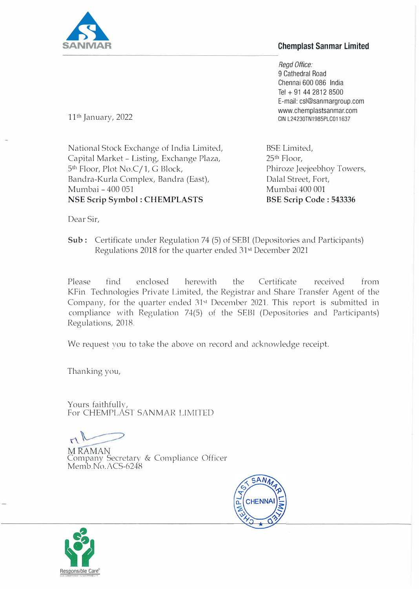

## **Chemplast Sanmar Limited**

*Regd Office:*  9 Cathedral Road Chennai 600 086 India Tel + 91 44 2812 8500 E-mail: csl@sanmargroup.com www.chemplastsanmar.com CIN L24230TN1985PLC011637

11th January, 2022

National Stock Exchange of India Limited, Capital Market - Listing, Exchange Plaza, 5 th Floor, Plot No.C/1, G Block, Bandra-Kurla Complex, Bandra (East), Mumbai - 400 051 **NSE Scrip Symbol : CHEMPLASTS** 

BSE Limited, 25th Floor, Phiroze Jeejeebhoy Towers, Dalal Street, Fort, Mumbai 400 001 **BSE Scrip Code : 543336** 

Dear Sir,

**Sub:** Certificate under Regulation 74 (5) of SEBI (Depositories and Participants) Regulations 2018 for the quarter ended 31s1 December 2021

Please find enclosed herewith the Certificate received from KFin Technologies Private Limited, the Registrar and Share Transfer Agent of the Company, for the quarter ended  $31st$  December 2021. This report is submitted in compliance with Regulation 74(5) of the SEBI (Depositories and Participants) Regulations, 2018.

*We* request you to take the above on record and acknowledge receipt.

Thanking you,

Yours faithfully, For CHEMPLAST SANMAR LIMITED

Company Secretary & Compliance Officer Memb.No.ACS-6248



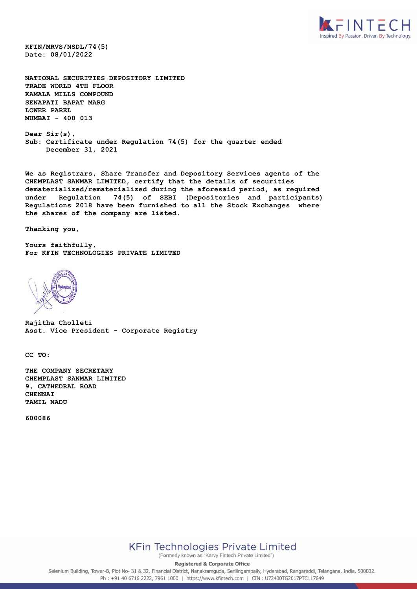

**KFIN/MRVS/NSDL/74(5) Date: 08/01/2022**

**NATIONAL SECURITIES DEPOSITORY LIMITED TRADE WORLD 4TH FLOOR KAMALA MILLS COMPOUND SENAPATI BAPAT MARG LOWER PAREL MUMBAI - 400 013**

**Dear Sir(s), Sub: Certificate under Regulation 74(5) for the quarter ended December 31, 2021**

**We as Registrars, Share Transfer and Depository Services agents of the CHEMPLAST SANMAR LIMITED, certify that the details of securities dematerialized/rematerialized during the aforesaid period, as required under Regulation 74(5) of SEBI (Depositories and participants) Regulations 2018 have been furnished to all the Stock Exchanges where the shares of the company are listed.** 

**Thanking you,**

**Yours faithfully, For KFIN TECHNOLOGIES PRIVATE LIMITED**



**Rajitha Cholleti Asst. Vice President - Corporate Registry**

**CC TO:**

**THE COMPANY SECRETARY CHEMPLAST SANMAR LIMITED 9, CATHEDRAL ROAD CHENNAI TAMIL NADU** 

**600086**



(Formerly known as "Karvy Fintech Private Limited")

**Registered & Corporate Office** 

Selenium Building, Tower-B, Plot No- 31 & 32, Financial District, Nanakramguda, Serilingampally, Hyderabad, Rangareddi, Telangana, India, 500032. Ph: +91 40 6716 2222, 7961 1000 | https://www.kfintech.com | CIN: U72400TG2017PTC117649